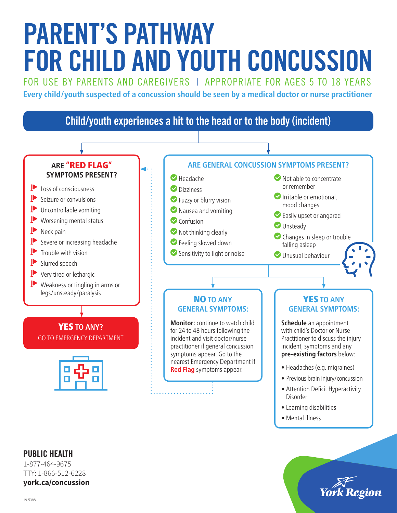# PARENT'S PATHWAY FOR CHILD AND YOUTH CONCUSSION

FOR USE BY PARENTS AND CAREGIVERS | APPROPRIATE FOR AGES 5 TO 18 YEARS **Every child/youth suspected of a concussion should be seen by a medical doctor or nurse practitioner**



- Previous brain injury/concussion
- Attention Deficit Hyperactivity Disorder
- Learning disabilities
- Mental illness



### PUBLIC HEALTH

1-877-464-9675 TTY: 1-866-512-6228 **york.ca/concussion**